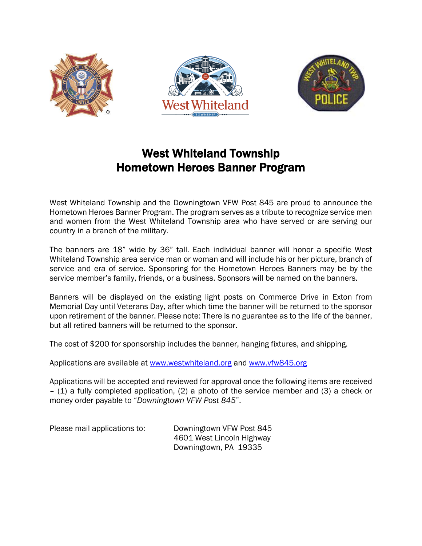

## West Whiteland Township Hometown Heroes Banner Program

West Whiteland Township and the Downingtown VFW Post 845 are proud to announce the Hometown Heroes Banner Program. The program serves as a tribute to recognize service men and women from the West Whiteland Township area who have served or are serving our country in a branch of the military.

The banners are 18" wide by 36" tall. Each individual banner will honor a specific West Whiteland Township area service man or woman and will include his or her picture, branch of service and era of service. Sponsoring for the Hometown Heroes Banners may be by the service member's family, friends, or a business. Sponsors will be named on the banners.

Banners will be displayed on the existing light posts on Commerce Drive in Exton from Memorial Day until Veterans Day, after which time the banner will be returned to the sponsor upon retirement of the banner. Please note: There is no guarantee as to the life of the banner, but all retired banners will be returned to the sponsor.

The cost of \$200 for sponsorship includes the banner, hanging fixtures, and shipping.

Applications are available at [www.westwhiteland.org](http://www.westwhiteland.org/) and [www.vfw845.org](http://www.vfw845.org/)

Applications will be accepted and reviewed for approval once the following items are received – (1) a fully completed application, (2) a photo of the service member and (3) a check or money order payable to "*Downingtown VFW Post 845*".

Please mail applications to: Downingtown VFW Post 845 4601 West Lincoln Highway Downingtown, PA 19335